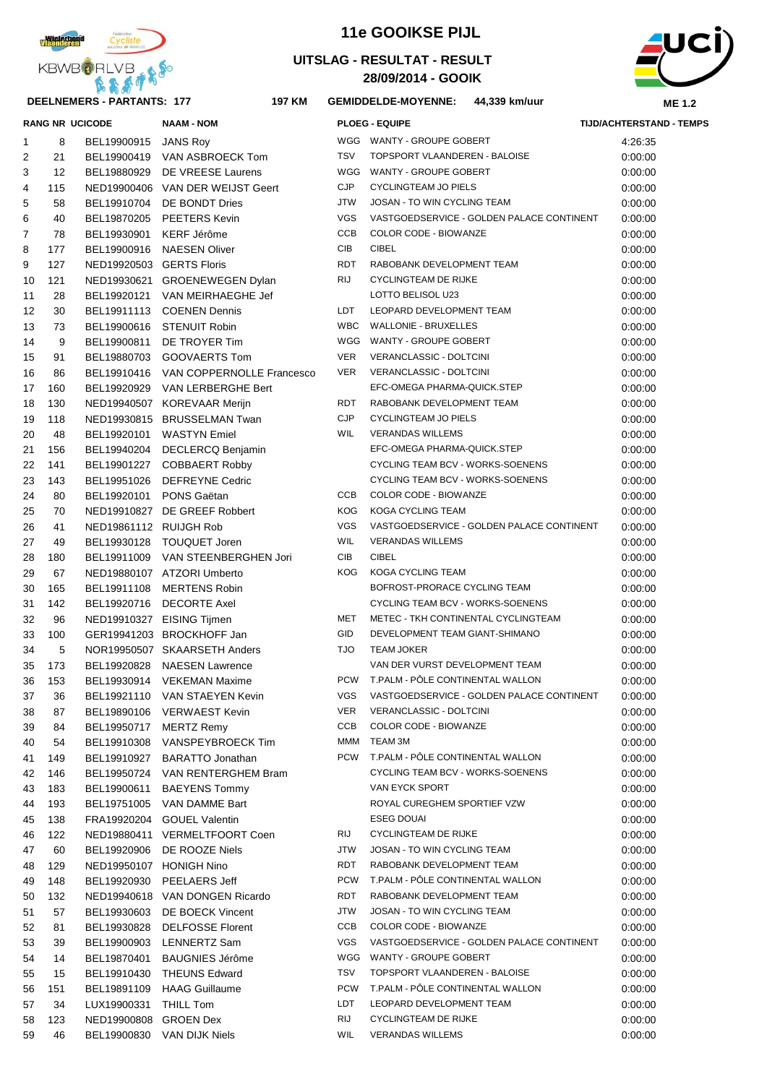

#### **DEELNEMERS - PARTANTS: 177 197**

### **11e GOOIKSE PIJL**

#### **28/09/2014 - GOOIK UITSLAG - RESULTAT - RESULT**



#### **KM GEMIDDELDE-MOYENNE: 44,339 km/uur**

|                |                   | <b>RANG NR UCICODE</b>   | <b>NAAM - NOM</b>                     |            | <b>PLOEG - EQUIPE</b>                     | <b>TIJD/ACHTERSTAND - TEMPS</b> |
|----------------|-------------------|--------------------------|---------------------------------------|------------|-------------------------------------------|---------------------------------|
| 1              | 8                 | BEL19900915              | <b>JANS Roy</b>                       |            | WGG WANTY - GROUPE GOBERT                 | 4:26:35                         |
| 2              | 21                | BEL19900419              | VAN ASBROECK Tom                      | <b>TSV</b> | <b>TOPSPORT VLAANDEREN - BALOISE</b>      | 0:00:00                         |
| 3              | $12 \overline{ }$ | BEL19880929              | DE VREESE Laurens                     |            | WGG WANTY - GROUPE GOBERT                 | 0:00:00                         |
| 4              | 115               |                          | NED19900406 VAN DER WEIJST Geert      | <b>CJP</b> | <b>CYCLINGTEAM JO PIELS</b>               | 0:00:00                         |
| 5              | 58                | BEL19910704              | DE BONDT Dries                        | <b>JTW</b> | JOSAN - TO WIN CYCLING TEAM               | 0:00:00                         |
| 6              | 40                | BEL19870205              | <b>PEETERS Kevin</b>                  | <b>VGS</b> | VASTGOEDSERVICE - GOLDEN PALACE CONTINENT | 0:00:00                         |
| $\overline{7}$ | 78                | BEL19930901              | KERF Jérôme                           | CCB        | COLOR CODE - BIOWANZE                     | 0:00:00                         |
| 8              | 177               | BEL19900916              | <b>NAESEN Oliver</b>                  | <b>CIB</b> | <b>CIBEL</b>                              | 0:00:00                         |
| 9              | 127               | NED19920503 GERTS Floris |                                       | <b>RDT</b> | RABOBANK DEVELOPMENT TEAM                 | 0:00:00                         |
| 10             | 121               |                          | NED19930621 GROENEWEGEN Dylan         | <b>RIJ</b> | <b>CYCLINGTEAM DE RIJKE</b>               | 0:00:00                         |
| 11             | 28                | BEL19920121              | VAN MEIRHAEGHE Jef                    |            | LOTTO BELISOL U23                         | 0:00:00                         |
| 12             | 30                | BEL19911113              | <b>COENEN Dennis</b>                  | LDT        | LEOPARD DEVELOPMENT TEAM                  | 0:00:00                         |
| 13             | 73                |                          | BEL19900616 STENUIT Robin             | <b>WBC</b> | <b>WALLONIE - BRUXELLES</b>               | 0:00:00                         |
| 14             | 9                 | BEL19900811              | DE TROYER Tim                         |            | WGG WANTY - GROUPE GOBERT                 | 0:00:00                         |
| 15             | 91                | BEL19880703              | <b>GOOVAERTS Tom</b>                  | <b>VER</b> | VERANCLASSIC - DOLTCINI                   | 0:00:00                         |
| 16             | 86                |                          | BEL19910416 VAN COPPERNOLLE Francesco | <b>VER</b> | VERANCLASSIC - DOLTCINI                   | 0:00:00                         |
| 17             | 160               |                          | BEL19920929 VAN LERBERGHE Bert        |            | EFC-OMEGA PHARMA-QUICK.STEP               | 0:00:00                         |
| 18             | 130               |                          | NED19940507 KOREVAAR Merijn           | <b>RDT</b> | RABOBANK DEVELOPMENT TEAM                 | 0:00:00                         |
| 19             | 118               |                          | NED19930815 BRUSSELMAN Twan           | <b>CJP</b> | <b>CYCLINGTEAM JO PIELS</b>               | 0:00:00                         |
| 20             | 48                | BEL19920101              | <b>WASTYN</b> Emiel                   | <b>WIL</b> | <b>VERANDAS WILLEMS</b>                   | 0:00:00                         |
| 21             | 156               | BEL19940204              | DECLERCQ Benjamin                     |            | EFC-OMEGA PHARMA-QUICK.STEP               | 0:00:00                         |
| 22             | 141               | BEL19901227              | <b>COBBAERT Robby</b>                 |            | CYCLING TEAM BCV - WORKS-SOENENS          | 0:00:00                         |
| 23             | 143               | BEL19951026              | <b>DEFREYNE Cedric</b>                |            | CYCLING TEAM BCV - WORKS-SOENENS          | 0:00:00                         |
| 24             | 80                | BEL19920101              | PONS Gaëtan                           | <b>CCB</b> | COLOR CODE - BIOWANZE                     | 0:00:00                         |
| 25             | 70                |                          | NED19910827 DE GREEF Robbert          | <b>KOG</b> | KOGA CYCLING TEAM                         | 0:00:00                         |
| 26             | 41                | NED19861112 RUIJGH Rob   |                                       | <b>VGS</b> | VASTGOEDSERVICE - GOLDEN PALACE CONTINENT | 0:00:00                         |
| 27             | 49                | BEL19930128              | <b>TOUQUET Joren</b>                  | <b>WIL</b> | <b>VERANDAS WILLEMS</b>                   | 0:00:00                         |
| 28             | 180               |                          | BEL19911009 VAN STEENBERGHEN Jori     | <b>CIB</b> | <b>CIBEL</b>                              | 0:00:00                         |
| 29             | 67                |                          | NED19880107 ATZORI Umberto            | <b>KOG</b> | KOGA CYCLING TEAM                         | 0:00:00                         |
| 30             | 165               | BEL19911108              | <b>MERTENS Robin</b>                  |            | BOFROST-PRORACE CYCLING TEAM              | 0:00:00                         |
| 31             | 142               | BEL19920716              | <b>DECORTE Axel</b>                   |            | CYCLING TEAM BCV - WORKS-SOENENS          | 0:00:00                         |
| 32             | 96                |                          | NED19910327 EISING Tijmen             | MET        | METEC - TKH CONTINENTAL CYCLINGTEAM       | 0:00:00                         |
| 33             | 100               |                          | GER19941203 BROCKHOFF Jan             | GID        | DEVELOPMENT TEAM GIANT-SHIMANO            | 0:00:00                         |
| 34             | 5                 |                          | NOR19950507 SKAARSETH Anders          | <b>TJO</b> | <b>TEAM JOKER</b>                         | 0:00:00                         |
| 35             | 173               | BEL19920828              | <b>NAESEN Lawrence</b>                |            | VAN DER VURST DEVELOPMENT TEAM            | 0:00:00                         |
| 36             | 153               |                          | BEL19930914 VEKEMAN Maxime            |            | PCW T.PALM - PÔLE CONTINENTAL WALLON      | 0:00:00                         |
| 37             | 36                | BEL19921110              | VAN STAEYEN Kevin                     | VGS        | VASTGOEDSERVICE - GOLDEN PALACE CONTINENT | 0:00:00                         |
| 38             | 87                | BEL19890106              | <b>VERWAEST Kevin</b>                 | <b>VER</b> | VERANCLASSIC - DOLTCINI                   | 0:00:00                         |
| 39             | 84                | BEL19950717              | <b>MERTZ Remy</b>                     | <b>CCB</b> | COLOR CODE - BIOWANZE                     | 0:00:00                         |
| 40             | 54                | BEL19910308              | VANSPEYBROECK Tim                     | <b>MMM</b> | TEAM 3M                                   | 0:00:00                         |
| 41             | 149               | BEL19910927              | <b>BARATTO Jonathan</b>               | <b>PCW</b> | T.PALM - PÖLE CONTINENTAL WALLON          | 0:00:00                         |
| 42             | 146               | BEL19950724              | VAN RENTERGHEM Bram                   |            | CYCLING TEAM BCV - WORKS-SOENENS          | 0:00:00                         |
| 43             | 183               | BEL19900611              | <b>BAEYENS Tommy</b>                  |            | VAN EYCK SPORT                            | 0:00:00                         |
| 44             | 193               | BEL19751005              | VAN DAMME Bart                        |            | ROYAL CUREGHEM SPORTIEF VZW               | 0:00:00                         |
| 45             | 138               | FRA19920204              | <b>GOUEL Valentin</b>                 |            | <b>ESEG DOUAI</b>                         | 0:00:00                         |
| 46             | 122               |                          | NED19880411 VERMELTFOORT Coen         | RIJ        | <b>CYCLINGTEAM DE RIJKE</b>               | 0:00:00                         |
| 47             | 60                | BEL19920906              | DE ROOZE Niels                        | <b>JTW</b> | JOSAN - TO WIN CYCLING TEAM               | 0:00:00                         |
| 48             | 129               | NED19950107 HONIGH Nino  |                                       | RDT        | RABOBANK DEVELOPMENT TEAM                 | 0:00:00                         |
| 49             | 148               | BEL19920930              | PEELAERS Jeff                         | <b>PCW</b> | T.PALM - PÖLE CONTINENTAL WALLON          | 0:00:00                         |
| 50             | 132               |                          | NED19940618 VAN DONGEN Ricardo        | RDT        | RABOBANK DEVELOPMENT TEAM                 | 0:00:00                         |
| 51             | 57                | BEL19930603              | DE BOECK Vincent                      | <b>JTW</b> | JOSAN - TO WIN CYCLING TEAM               | 0:00:00                         |
| 52             | 81                | BEL19930828              | <b>DELFOSSE Florent</b>               | CCB        | COLOR CODE - BIOWANZE                     | 0:00:00                         |
| 53             | 39                | BEL19900903              | <b>LENNERTZ Sam</b>                   | <b>VGS</b> | VASTGOEDSERVICE - GOLDEN PALACE CONTINENT | 0:00:00                         |
| 54             | 14                | BEL19870401              | <b>BAUGNIES Jérôme</b>                | WGG        | WANTY - GROUPE GOBERT                     | 0:00:00                         |
| 55             | 15                | BEL19910430              | <b>THEUNS Edward</b>                  | <b>TSV</b> | TOPSPORT VLAANDEREN - BALOISE             | 0:00:00                         |
| 56             | 151               | BEL19891109              | <b>HAAG Guillaume</b>                 | <b>PCW</b> | T.PALM - PÖLE CONTINENTAL WALLON          | 0:00:00                         |
| 57             | 34                | LUX19900331              | THILL Tom                             | LDT        | LEOPARD DEVELOPMENT TEAM                  | 0:00:00                         |
| 58             | 123               | NED19900808              | <b>GROEN Dex</b>                      | RIJ        | <b>CYCLINGTEAM DE RIJKE</b>               | 0:00:00                         |
| 59             | 46                | BEL19900830              | <b>VAN DIJK Niels</b>                 | WIL        | <b>VERANDAS WILLEMS</b>                   | 0:00:00                         |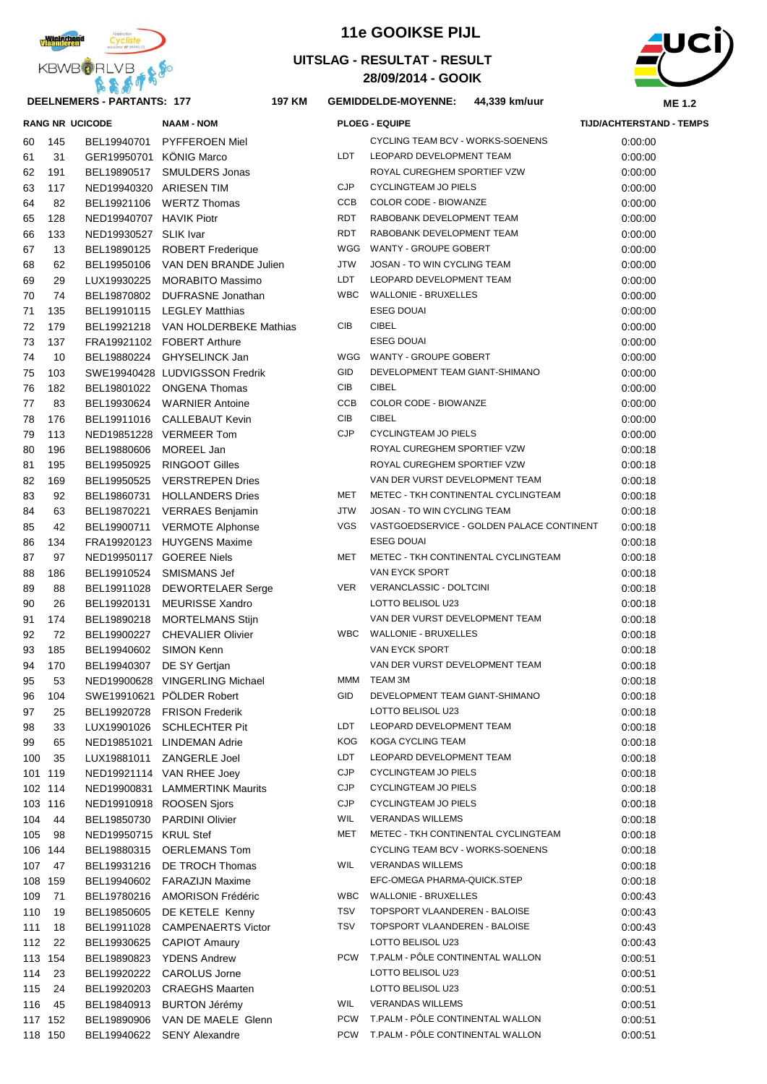

#### **DEELNEMERS - PARTANTS: 177 197**

### **11e GOOIKSE PIJL**

### **28/09/2014 - GOOIK UITSLAG - RESULTAT - RESULT**



#### $GEMIDDEL$

| <b>KBMBAHLAR</b><br>医高房中的<br>DEELNEMERS - PARTANTS: 177<br><b>197 KM</b> |     |                         |                                    |            | 28/09/2014 - GOOIK                          | <b>ME 1.2</b>                   |  |
|--------------------------------------------------------------------------|-----|-------------------------|------------------------------------|------------|---------------------------------------------|---------------------------------|--|
|                                                                          |     |                         |                                    |            | <b>GEMIDDELDE-MOYENNE:</b><br>44,339 km/uur |                                 |  |
|                                                                          |     | <b>RANG NR UCICODE</b>  | <b>NAAM - NOM</b>                  |            | <b>PLOEG - EQUIPE</b>                       | <b>TIJD/ACHTERSTAND - TEMPS</b> |  |
| 60                                                                       | 145 |                         | BEL19940701 PYFFEROEN Miel         |            | CYCLING TEAM BCV - WORKS-SOENENS            | 0:00:00                         |  |
| 61                                                                       | 31  | GER19950701 KÖNIG Marco |                                    | LDT.       | LEOPARD DEVELOPMENT TEAM                    | 0:00:00                         |  |
| 62                                                                       | 191 | BEL19890517             | SMULDERS Jonas                     |            | ROYAL CUREGHEM SPORTIEF VZW                 | 0:00:00                         |  |
| 63                                                                       | 117 | NED19940320 ARIESEN TIM |                                    | CJP        | <b>CYCLINGTEAM JO PIELS</b>                 | 0:00:00                         |  |
| 64                                                                       | 82  |                         | BEL19921106 WERTZ Thomas           | CCB        | COLOR CODE - BIOWANZE                       | 0:00:00                         |  |
| 65                                                                       | 128 | NED19940707 HAVIK Piotr |                                    | <b>RDT</b> | RABOBANK DEVELOPMENT TEAM                   | 0:00:00                         |  |
| 66                                                                       | 133 | NED19930527 SLIK Ivar   |                                    | <b>RDT</b> | RABOBANK DEVELOPMENT TEAM                   | 0:00:00                         |  |
| 67                                                                       | 13  |                         | BEL19890125 ROBERT Frederique      | WGG        | WANTY - GROUPE GOBERT                       | 0:00:00                         |  |
| 68                                                                       | 62  |                         | BEL19950106 VAN DEN BRANDE Julien  | <b>JTW</b> | JOSAN - TO WIN CYCLING TEAM                 | 0:00:00                         |  |
| 69                                                                       | 29  |                         | LUX19930225 MORABITO Massimo       | LDT        | LEOPARD DEVELOPMENT TEAM                    | 0:00:00                         |  |
| 70                                                                       | 74  |                         | BEL19870802 DUFRASNE Jonathan      | <b>WBC</b> | <b>WALLONIE - BRUXELLES</b>                 | 0:00:00                         |  |
| 71                                                                       | 135 |                         | BEL19910115 LEGLEY Matthias        |            | <b>ESEG DOUAI</b>                           | 0:00:00                         |  |
| 72                                                                       | 179 |                         | BEL19921218 VAN HOLDERBEKE Mathias | CIB        | <b>CIBEL</b>                                | 0:00:00                         |  |
| 73                                                                       | 137 |                         | FRA19921102 FOBERT Arthure         |            | <b>ESEG DOUAI</b>                           | 0:00:00                         |  |
| 74                                                                       | 10  |                         | BEL19880224 GHYSELINCK Jan         |            | WGG WANTY - GROUPE GOBERT                   | 0:00:00                         |  |
| 75                                                                       | 103 |                         | SWE19940428 LUDVIGSSON Fredrik     | GID        | DEVELOPMENT TEAM GIANT-SHIMANO              | 0:00:00                         |  |
| 76                                                                       | 182 |                         | BEL19801022 ONGENA Thomas          | CIB        | <b>CIBEL</b>                                | 0:00:00                         |  |
| 77                                                                       | 83  |                         | BEL19930624 WARNIER Antoine        | <b>CCB</b> | COLOR CODE - BIOWANZE                       | 0:00:00                         |  |
| 78                                                                       | 176 |                         | BEL19911016 CALLEBAUT Kevin        | <b>CIB</b> | <b>CIBEL</b>                                | 0:00:00                         |  |
| 79                                                                       | 113 |                         | NED19851228 VERMEER Tom            | <b>CJP</b> | <b>CYCLINGTEAM JO PIELS</b>                 | 0:00:00                         |  |
| 80                                                                       | 196 | BEL19880606 MOREEL Jan  |                                    |            | ROYAL CUREGHEM SPORTIEF VZW                 | 0:00:18                         |  |
| 81                                                                       | 195 |                         | BEL19950925 RINGOOT Gilles         |            | ROYAL CUREGHEM SPORTIEF VZW                 | 0:00:18                         |  |
| 82                                                                       | 169 |                         | BEL19950525 VERSTREPEN Dries       |            | VAN DER VURST DEVELOPMENT TEAM              | 0:00:18                         |  |
| 83                                                                       | 92  |                         | BEL19860731 HOLLANDERS Dries       | MET        | METEC - TKH CONTINENTAL CYCLINGTEAM         | 0:00:18                         |  |
| 84                                                                       | 63  |                         | BEL19870221 VERRAES Benjamin       | <b>JTW</b> | JOSAN - TO WIN CYCLING TEAM                 | 0:00:18                         |  |
| 85                                                                       | 42  |                         | BEL19900711 VERMOTE Alphonse       | <b>VGS</b> | VASTGOEDSERVICE - GOLDEN PALACE CONTINENT   | 0:00:18                         |  |
| 86                                                                       | 134 |                         | FRA19920123 HUYGENS Maxime         |            | <b>ESEG DOUAI</b>                           | 0:00:18                         |  |
| 87                                                                       | 97  |                         | NED19950117 GOEREE Niels           | <b>MET</b> | METEC - TKH CONTINENTAL CYCLINGTEAM         | 0:00:18                         |  |
| 88                                                                       | 186 |                         | BEL19910524 SMISMANS Jef           |            | VAN EYCK SPORT                              | 0:00:18                         |  |
| 89                                                                       | 88  |                         | BEL19911028 DEWORTELAER Serge      | <b>VER</b> | VERANCLASSIC - DOLTCINI                     | 0:00:18                         |  |
| 90                                                                       | 26  |                         | BEL19920131 MEURISSE Xandro        |            | LOTTO BELISOL U23                           | 0:00:18                         |  |
| 91                                                                       | 174 |                         | BEL19890218 MORTELMANS Stijn       |            | VAN DER VURST DEVELOPMENT TEAM              | 0:00:18                         |  |
| $\sim$                                                                   |     | <b>DEL 10000007</b>     |                                    | 111DQ      |                                             | 0.001                           |  |

| 70  | 74      |                       | BEL19870802 DUFRASNE Jonathan      | <b>WBC</b> | <b>WALLONIE - BRUXELLES</b>               | 0:00:00 |
|-----|---------|-----------------------|------------------------------------|------------|-------------------------------------------|---------|
| 71  | 135     |                       | BEL19910115 LEGLEY Matthias        |            | <b>ESEG DOUAI</b>                         | 0:00:00 |
| 72  | 179     |                       | BEL19921218 VAN HOLDERBEKE Mathias | CIB        | <b>CIBEL</b>                              | 0:00:00 |
| 73  | 137     |                       | FRA19921102 FOBERT Arthure         |            | <b>ESEG DOUAI</b>                         | 0:00:00 |
| 74  | 10      |                       | BEL19880224 GHYSELINCK Jan         |            | WGG WANTY - GROUPE GOBERT                 | 0:00:00 |
| 75  | 103     |                       | SWE19940428 LUDVIGSSON Fredrik     | GID        | DEVELOPMENT TEAM GIANT-SHIMANO            | 0:00:00 |
| 76  | 182     |                       | BEL19801022 ONGENA Thomas          | CIB        | <b>CIBEL</b>                              | 0:00:00 |
| 77  | 83      |                       | BEL19930624 WARNIER Antoine        | CCB        | COLOR CODE - BIOWANZE                     | 0:00:00 |
| 78  | 176     |                       | BEL19911016 CALLEBAUT Kevin        | <b>CIB</b> | <b>CIBEL</b>                              | 0:00:00 |
| 79  | 113     |                       | NED19851228 VERMEER Tom            | <b>CJP</b> | <b>CYCLINGTEAM JO PIELS</b>               | 0:00:00 |
| 80  | 196     | BEL19880606           | MOREEL Jan                         |            | ROYAL CUREGHEM SPORTIEF VZW               | 0:00:18 |
| 81  | 195     | BEL19950925           | <b>RINGOOT Gilles</b>              |            | ROYAL CUREGHEM SPORTIEF VZW               | 0:00:18 |
| 82  | 169     | BEL19950525           | <b>VERSTREPEN Dries</b>            |            | VAN DER VURST DEVELOPMENT TEAM            | 0:00:18 |
| 83  | 92      | BEL19860731           | <b>HOLLANDERS Dries</b>            | MET        | METEC - TKH CONTINENTAL CYCLINGTEAM       | 0:00:18 |
| 84  | 63      |                       | BEL19870221 VERRAES Benjamin       | <b>JTW</b> | JOSAN - TO WIN CYCLING TEAM               | 0:00:18 |
| 85  | 42      |                       | BEL19900711 VERMOTE Alphonse       | <b>VGS</b> | VASTGOEDSERVICE - GOLDEN PALACE CONTINENT | 0:00:18 |
| 86  | 134     |                       | FRA19920123 HUYGENS Maxime         |            | <b>ESEG DOUAI</b>                         | 0:00:18 |
| 87  | 97      |                       | NED19950117 GOEREE Niels           | <b>MET</b> | METEC - TKH CONTINENTAL CYCLINGTEAM       | 0:00:18 |
| 88  | 186     | BEL19910524           | SMISMANS Jef                       |            | VAN EYCK SPORT                            | 0:00:18 |
| 89  | 88      |                       | BEL19911028 DEWORTELAER Serge      | <b>VER</b> | VERANCLASSIC - DOLTCINI                   | 0:00:18 |
| 90  | 26      | BEL19920131           | MEURISSE Xandro                    |            | LOTTO BELISOL U23                         | 0.00:18 |
| 91  | 174     | BEL19890218           | <b>MORTELMANS Stijn</b>            |            | VAN DER VURST DEVELOPMENT TEAM            | 0:00:18 |
| 92  | 72      | BEL19900227           | <b>CHEVALIER Olivier</b>           | <b>WBC</b> | <b>WALLONIE - BRUXELLES</b>               | 0.00:18 |
| 93  | 185     | BEL19940602           | <b>SIMON Kenn</b>                  |            | VAN EYCK SPORT                            | 0:00:18 |
| 94  | 170     | BEL19940307           | DE SY Gertjan                      |            | VAN DER VURST DEVELOPMENT TEAM            | 0.00:18 |
| 95  | 53      |                       | NED19900628 VINGERLING Michael     |            | MMM TEAM 3M                               | 0.00:18 |
| 96  | 104     |                       | SWE19910621 PÖLDER Robert          | GID        | DEVELOPMENT TEAM GIANT-SHIMANO            | 0:00:18 |
| 97  | 25      |                       | BEL19920728 FRISON Frederik        |            | LOTTO BELISOL U23                         | 0:00:18 |
| 98  | 33      |                       | LUX19901026 SCHLECHTER Pit         | <b>LDT</b> | LEOPARD DEVELOPMENT TEAM                  | 0:00:18 |
| 99  | 65      |                       | NED19851021 LINDEMAN Adrie         | <b>KOG</b> | KOGA CYCLING TEAM                         | 0.00:18 |
| 100 | 35      | LUX19881011           | ZANGERLE Joel                      | LDT        | LEOPARD DEVELOPMENT TEAM                  | 0.00:18 |
|     | 101 119 |                       | NED19921114 VAN RHEE Joey          | <b>CJP</b> | <b>CYCLINGTEAM JO PIELS</b>               | 0:00:18 |
|     | 102 114 |                       | NED19900831 LAMMERTINK Maurits     | <b>CJP</b> | <b>CYCLINGTEAM JO PIELS</b>               | 0:00:18 |
|     | 103 116 |                       | NED19910918 ROOSEN Sjors           | <b>CJP</b> | <b>CYCLINGTEAM JO PIELS</b>               | 0:00:18 |
| 104 | 44      |                       | BEL19850730 PARDINI Olivier        | <b>WIL</b> | <b>VERANDAS WILLEMS</b>                   | 0:00:18 |
| 105 | 98      | NED19950715 KRUL Stef |                                    | <b>MET</b> | METEC - TKH CONTINENTAL CYCLINGTEAM       | 0:00:18 |
|     | 106 144 |                       | BEL19880315 OERLEMANS Tom          |            | <b>CYCLING TEAM BCV - WORKS-SOENENS</b>   | 0.00:18 |
| 107 | 47      |                       | BEL19931216 DE TROCH Thomas        | <b>WIL</b> | <b>VERANDAS WILLEMS</b>                   | 0:00:18 |
|     | 108 159 |                       | BEL19940602 FARAZIJN Maxime        |            | EFC-OMEGA PHARMA-QUICK.STEP               | 0:00:18 |
| 109 | 71      | BEL19780216           | <b>AMORISON Frédéric</b>           | <b>WBC</b> | WALLONIE - BRUXELLES                      | 0:00:43 |
| 110 | 19      | BEL19850605           | DE KETELE Kenny                    | TSV        | TOPSPORT VLAANDEREN - BALOISE             | 0:00:43 |
| 111 | 18      | BEL19911028           | <b>CAMPENAERTS Victor</b>          | TSV        | TOPSPORT VLAANDEREN - BALOISE             | 0:00:43 |
| 112 | 22      | BEL19930625           | <b>CAPIOT Amaury</b>               |            | LOTTO BELISOL U23                         | 0:00:43 |
|     | 113 154 | BEL19890823           | <b>YDENS Andrew</b>                | <b>PCW</b> | T.PALM - PÔLE CONTINENTAL WALLON          | 0:00:51 |
| 114 | 23      | BEL19920222           | <b>CAROLUS Jorne</b>               |            | LOTTO BELISOL U23                         | 0:00:51 |
| 115 | 24      | BEL19920203           | <b>CRAEGHS Maarten</b>             |            | LOTTO BELISOL U23                         | 0:00:51 |
| 116 | 45      | BEL19840913           | <b>BURTON Jérémy</b>               | WIL        | <b>VERANDAS WILLEMS</b>                   | 0:00:51 |
|     | 117 152 | BEL19890906           | VAN DE MAELE Glenn                 | <b>PCW</b> | T.PALM - PÖLE CONTINENTAL WALLON          | 0:00:51 |
|     | 118 150 | BEL19940622           | <b>SENY Alexandre</b>              | <b>PCW</b> | T.PALM - PÔLE CONTINENTAL WALLON          | 0:00:51 |
|     |         |                       |                                    |            |                                           |         |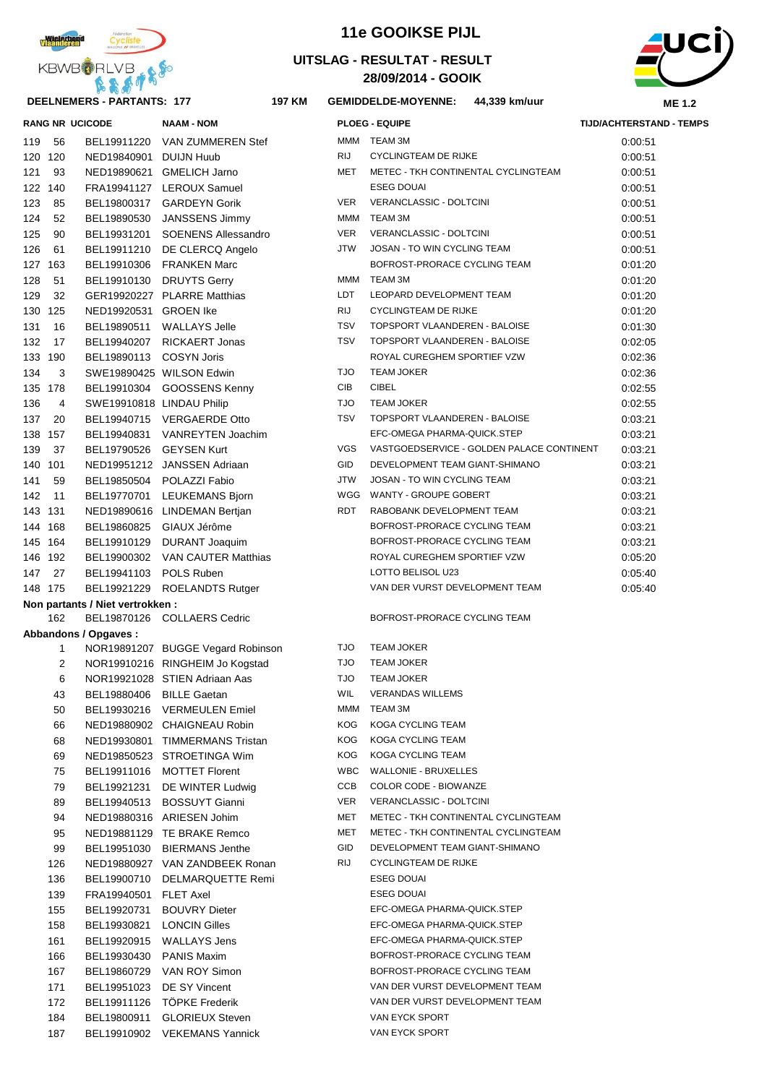

#### **DEELNEMERS - PARTANTS: 177 197**

| KBWBORLVB <sub>+</sub> |    |                                   |                   | UITSLAG - RESULTAT - RESULT<br>28/09/2014 - GOOIK |                            |      |
|------------------------|----|-----------------------------------|-------------------|---------------------------------------------------|----------------------------|------|
|                        |    | <b>DEELNEMERS - PARTANTS: 177</b> |                   | 197 KM                                            | <b>GEMIDDELDE-MOYENNE:</b> | 44,3 |
|                        |    | <b>RANG NR UCICODE</b>            | <b>NAAM - NOM</b> |                                                   | <b>PLOEG - EQUIPE</b>      |      |
| 119                    | 56 | BEL19911220                       | VAN ZUMMEREN Stef |                                                   | TEAM 3M<br>MMM             |      |



#### **KM GEMIDDELDE-MOYENNE: 44,339 km/uur**

**11e GOOIKSE PIJL**

|     |                | <b>RANG NR UCICODE</b>           | <b>NAAM - NOM</b>                 |            | <b>PLOEG - EQUIPE</b>                     | TIJD/ACHTERSTAND - TEMPS |
|-----|----------------|----------------------------------|-----------------------------------|------------|-------------------------------------------|--------------------------|
| 119 | 56             | BEL19911220                      | VAN ZUMMEREN Stef                 |            | MMM TEAM 3M                               | 0:00.51                  |
| 120 | 120            | NED19840901 DUIJN Huub           |                                   | RIJ        | <b>CYCLINGTEAM DE RIJKE</b>               | 0:00:51                  |
| 121 | 93             |                                  | NED19890621 GMELICH Jarno         | MET        | METEC - TKH CONTINENTAL CYCLINGTEAM       | 0:00:51                  |
| 122 | 140            |                                  | FRA19941127 LEROUX Samuel         |            | <b>ESEG DOUAI</b>                         | 0:00:51                  |
| 123 | 85             |                                  | BEL19800317 GARDEYN Gorik         | <b>VER</b> | VERANCLASSIC - DOLTCINI                   | 0:00:51                  |
| 124 | 52             | BEL19890530                      | JANSSENS Jimmy                    | MMM        | TEAM 3M                                   | 0:00:51                  |
| 125 | 90             | BEL19931201                      | <b>SOENENS Allessandro</b>        | <b>VER</b> | VERANCLASSIC - DOLTCINI                   | 0:00:51                  |
| 126 | 61             |                                  | BEL19911210 DE CLERCQ Angelo      | <b>JTW</b> | JOSAN - TO WIN CYCLING TEAM               | 0:00:51                  |
| 127 | 163            |                                  | BEL19910306 FRANKEN Marc          |            | BOFROST-PRORACE CYCLING TEAM              | 0:01:20                  |
| 128 | 51             |                                  | BEL19910130 DRUYTS Gerry          | MMM        | <b>TEAM 3M</b>                            | 0:01:20                  |
| 129 | 32             |                                  | GER19920227 PLARRE Matthias       | LDT        | LEOPARD DEVELOPMENT TEAM                  | 0:01:20                  |
| 130 | 125            | NED19920531 GROEN Ike            |                                   | <b>RIJ</b> | <b>CYCLINGTEAM DE RIJKE</b>               | 0:01:20                  |
| 131 | 16             | BEL19890511                      | <b>WALLAYS Jelle</b>              | <b>TSV</b> | TOPSPORT VLAANDEREN - BALOISE             | 0:01:30                  |
| 132 | 17             |                                  | BEL19940207 RICKAERT Jonas        | <b>TSV</b> | TOPSPORT VLAANDEREN - BALOISE             | 0:02:05                  |
| 133 | 190            | BEL19890113 COSYN Joris          |                                   |            | ROYAL CUREGHEM SPORTIEF VZW               | 0:02:36                  |
| 134 | 3              |                                  | SWE19890425 WILSON Edwin          | <b>TJO</b> | <b>TEAM JOKER</b>                         | 0:02:36                  |
|     | 135 178        |                                  | BEL19910304 GOOSSENS Kenny        | CIB        | <b>CIBEL</b>                              | 0:02:55                  |
| 136 | 4              | SWE19910818 LINDAU Philip        |                                   | <b>TJO</b> | <b>TEAM JOKER</b>                         | 0:02:55                  |
| 137 | 20             |                                  | BEL19940715 VERGAERDE Otto        | <b>TSV</b> | TOPSPORT VLAANDEREN - BALOISE             | 0:03:21                  |
| 138 | 157            | BEL19940831                      | VANREYTEN Joachim                 |            | EFC-OMEGA PHARMA-QUICK.STEP               | 0:03:21                  |
| 139 | 37             | BEL19790526 GEYSEN Kurt          |                                   | VGS        | VASTGOEDSERVICE - GOLDEN PALACE CONTINENT | 0:03:21                  |
| 140 | 101            |                                  | NED19951212 JANSSEN Adriaan       | GID        | DEVELOPMENT TEAM GIANT-SHIMANO            | 0:03:21                  |
| 141 | 59             |                                  | BEL19850504 POLAZZI Fabio         | <b>JTW</b> | JOSAN - TO WIN CYCLING TEAM               | 0:03:21                  |
| 142 | 11             |                                  | BEL19770701 LEUKEMANS Bjorn       | WGG        | WANTY - GROUPE GOBERT                     | 0:03:21                  |
|     | 143 131        |                                  | NED19890616 LINDEMAN Bertjan      | RDT        | RABOBANK DEVELOPMENT TEAM                 | 0:03:21                  |
|     | 144 168        |                                  | BEL19860825 GIAUX Jérôme          |            | BOFROST-PRORACE CYCLING TEAM              | 0:03:21                  |
|     | 145 164        |                                  | BEL19910129 DURANT Joaquim        |            | BOFROST-PRORACE CYCLING TEAM              | 0:03:21                  |
|     | 146 192        |                                  | BEL19900302 VAN CAUTER Matthias   |            | ROYAL CUREGHEM SPORTIEF VZW               | 0:05:20                  |
| 147 | 27             | BEL19941103 POLS Ruben           |                                   |            | LOTTO BELISOL U23                         | 0:05:40                  |
|     | 148 175        |                                  | BEL19921229 ROELANDTS Rutger      |            | VAN DER VURST DEVELOPMENT TEAM            | 0:05:40                  |
|     |                | Non partants / Niet vertrokken : |                                   |            |                                           |                          |
|     | 162            |                                  | BEL19870126 COLLAERS Cedric       |            | BOFROST-PRORACE CYCLING TEAM              |                          |
|     |                | Abbandons / Opgaves:             |                                   |            |                                           |                          |
|     | 1              |                                  | NOR19891207 BUGGE Vegard Robinson | <b>TJO</b> | <b>TEAM JOKER</b>                         |                          |
|     | $\overline{2}$ |                                  | NOR19910216 RINGHEIM Jo Kogstad   | <b>TJO</b> | <b>TEAM JOKER</b>                         |                          |
|     | 6              |                                  | NOR19921028 STIEN Adriaan Aas     | <b>TJO</b> | <b>TEAM JOKER</b>                         |                          |
|     | 43             | BEL19880406 BILLE Gaetan         |                                   | WIL        | <b>VERANDAS WILLEMS</b>                   |                          |
|     | 50             |                                  | BEL19930216 VERMEULEN Emiel       |            | MMM TEAM 3M                               |                          |
|     | 66             |                                  | NED19880902 CHAIGNEAU Robin       | KOG        | KOGA CYCLING TEAM                         |                          |
|     | 68             |                                  | NED19930801 TIMMERMANS Tristan    | KOG        | KOGA CYCLING TEAM                         |                          |
|     | 69             |                                  | NED19850523 STROETINGA Wim        | KOG        | KOGA CYCLING TEAM                         |                          |
|     | 75             |                                  | BEL19911016 MOTTET Florent        | WBC        | <b>WALLONIE - BRUXELLES</b>               |                          |
|     | 79             |                                  | BEL19921231 DE WINTER Ludwig      | CCB        | COLOR CODE - BIOWANZE                     |                          |
|     | 89             |                                  | BEL19940513 BOSSUYT Gianni        | VER        | VERANCLASSIC - DOLTCINI                   |                          |
|     | QΔ             |                                  | NED19880316 ARIESEN Johim         |            | MET METEC - TKH CONTINENTAL CYCLINGTEAM   |                          |

- 
- MET METEC TKH CONTINENTAL CYCLINGTEAM
- GID DEVELOPMENT TEAM GIANT-SHIMANO
- RIJ CYCLINGTEAM DE RIJKE **ESEG DOUAI ESEG DOUAI** EFC-OMEGA PHARMA-QUICK.STEP EFC-OMEGA PHARMA-QUICK.STEP EFC-OMEGA PHARMA-QUICK.STEP BOFROST-PRORACE CYCLING TEAM BOFROST-PRORACE CYCLING TEAM VAN DER VURST DEVELOPMENT TEAM VAN DER VURST DEVELOPMENT TEAM VAN EYCK SPORT 187 BEL19910902 VEKEMANS Yannick VAN EYCK SPORT

| 131 | 16      | BEL19890511                     | <b>WALLAYS Jelle</b>              | TSV        | <b>TOPSPORT VLAANDEREN - BALOISE</b> |
|-----|---------|---------------------------------|-----------------------------------|------------|--------------------------------------|
| 132 | 17      | BEL19940207                     | <b>RICKAERT Jonas</b>             | <b>TSV</b> | TOPSPORT VLAANDEREN - BALOISE        |
| 133 | 190     | BEL19890113                     | <b>COSYN Joris</b>                |            | ROYAL CUREGHEM SPORTIEF VZW          |
| 134 | 3       |                                 | SWE19890425 WILSON Edwin          | <b>TJO</b> | <b>TEAM JOKER</b>                    |
|     | 135 178 | BEL19910304                     | GOOSSENS Kenny                    | <b>CIB</b> | <b>CIBEL</b>                         |
| 136 | 4       | SWE19910818 LINDAU Philip       |                                   | <b>OLT</b> | <b>TEAM JOKER</b>                    |
| 137 | 20      |                                 | BEL19940715 VERGAERDE Otto        | <b>TSV</b> | TOPSPORT VLAANDEREN - BALOISE        |
|     | 138 157 |                                 | BEL19940831 VANREYTEN Joachim     |            | EFC-OMEGA PHARMA-QUICK.STEP          |
| 139 | 37      | BEL19790526                     | <b>GEYSEN Kurt</b>                | <b>VGS</b> | VASTGOEDSERVICE - GOLDEN PALACE CO   |
|     | 140 101 |                                 | NED19951212 JANSSEN Adriaan       | <b>GID</b> | DEVELOPMENT TEAM GIANT-SHIMANO       |
| 141 | 59      | BEL19850504                     | POLAZZI Fabio                     | <b>JTW</b> | JOSAN - TO WIN CYCLING TEAM          |
| 142 | 11      | BEL19770701                     | <b>LEUKEMANS Bjorn</b>            |            | WGG WANTY - GROUPE GOBERT            |
|     | 143 131 |                                 | NED19890616 LINDEMAN Bertjan      | RDT        | RABOBANK DEVELOPMENT TEAM            |
|     | 144 168 | BEL19860825                     | GIAUX Jérôme                      |            | BOFROST-PRORACE CYCLING TEAM         |
|     | 145 164 | BEL19910129                     | <b>DURANT Joaquim</b>             |            | BOFROST-PRORACE CYCLING TEAM         |
|     | 146 192 |                                 | BEL19900302 VAN CAUTER Matthias   |            | ROYAL CUREGHEM SPORTIEF VZW          |
| 147 | 27      | BEL19941103                     | POLS Ruben                        |            | LOTTO BELISOL U23                    |
|     | 148 175 | BEL19921229                     | ROELANDTS Rutger                  |            | VAN DER VURST DEVELOPMENT TEAM       |
|     |         | Non partants / Niet vertrokken: |                                   |            |                                      |
|     | 162     |                                 | BEL19870126 COLLAERS Cedric       |            | BOFROST-PRORACE CYCLING TEAM         |
|     |         | Abbandons / Opgaves:            |                                   |            |                                      |
|     | 1       |                                 | NOR19891207 BUGGE Vegard Robinson | <b>TJO</b> | <b>TEAM JOKER</b>                    |
|     | 2       |                                 | NOR19910216 RINGHEIM Jo Kogstad   | <b>TJO</b> | <b>TEAM JOKER</b>                    |
|     | 6       |                                 | NOR19921028 STIEN Adriaan Aas     | <b>OLT</b> | <b>TEAM JOKER</b>                    |
|     | 43      | BEL19880406 BILLE Gaetan        |                                   | <b>WIL</b> | <b>VERANDAS WILLEMS</b>              |
|     | 50      |                                 | BEL19930216 VERMEULEN Emiel       | MMM        | TEAM 3M                              |
|     | 66      |                                 | NED19880902 CHAIGNEAU Robin       | KOG.       | KOGA CYCLING TEAM                    |
|     | 68      |                                 | NED19930801 TIMMERMANS Tristan    | KOG.       | KOGA CYCLING TEAM                    |
|     | 69      |                                 | NED19850523 STROETINGA Wim        | KOG.       | KOGA CYCLING TEAM                    |
|     | 75      | BEL19911016                     | <b>MOTTET Florent</b>             | <b>WBC</b> | <b>WALLONIE - BRUXELLES</b>          |
|     | 79      | BEL19921231                     | DE WINTER Ludwig                  | CCB        | COLOR CODE - BIOWANZE                |
|     | 89      | BEL19940513                     | <b>BOSSUYT Gianni</b>             | <b>VER</b> | VERANCLASSIC - DOLTCINI              |
|     | 94      |                                 | NED19880316 ARIESEN Johim         | MET        | METEC - TKH CONTINENTAL CYCLINGTEAM  |
|     | 95      |                                 | NED19881129 TE BRAKE Remco        | <b>MET</b> | METEC - TKH CONTINENTAL CYCLINGTEAM  |
|     | 99      | BEL19951030                     | <b>BIERMANS Jenthe</b>            | <b>GID</b> | DEVELOPMENT TEAM GIANT-SHIMANO       |
|     | 126     |                                 | NED19880927 VAN ZANDBEEK Ronan    | <b>RIJ</b> | <b>CYCLINGTEAM DE RIJKE</b>          |
|     | 136     | BEL19900710                     | <b>DELMARQUETTE Remi</b>          |            | <b>ESEG DOUAI</b>                    |
|     | 139     | FRA19940501                     | <b>FLET Axel</b>                  |            | <b>ESEG DOUAI</b>                    |
|     | 155     | BEL19920731                     | <b>BOUVRY Dieter</b>              |            | EFC-OMEGA PHARMA-QUICK.STEP          |
|     | 158     | BEL19930821                     | <b>LONCIN Gilles</b>              |            | EFC-OMEGA PHARMA-QUICK.STEP          |
|     | 161     | BEL19920915                     | <b>WALLAYS Jens</b>               |            | EFC-OMEGA PHARMA-QUICK.STEP          |
|     | 166     | BEL19930430                     | <b>PANIS Maxim</b>                |            | BOFROST-PRORACE CYCLING TEAM         |
|     | 167     | BEL19860729                     | VAN ROY Simon                     |            | BOFROST-PRORACE CYCLING TEAM         |
|     | 171     | BEL19951023                     | <b>DE SY Vincent</b>              |            | VAN DER VURST DEVELOPMENT TEAM       |
|     | 172     | BEL19911126                     | <b>TÖPKE Frederik</b>             |            | VAN DER VURST DEVELOPMENT TEAM       |
|     | 184     |                                 | BEL19800911 GLORIEUX Steven       |            | VAN EYCK SPORT                       |
|     |         |                                 |                                   |            |                                      |